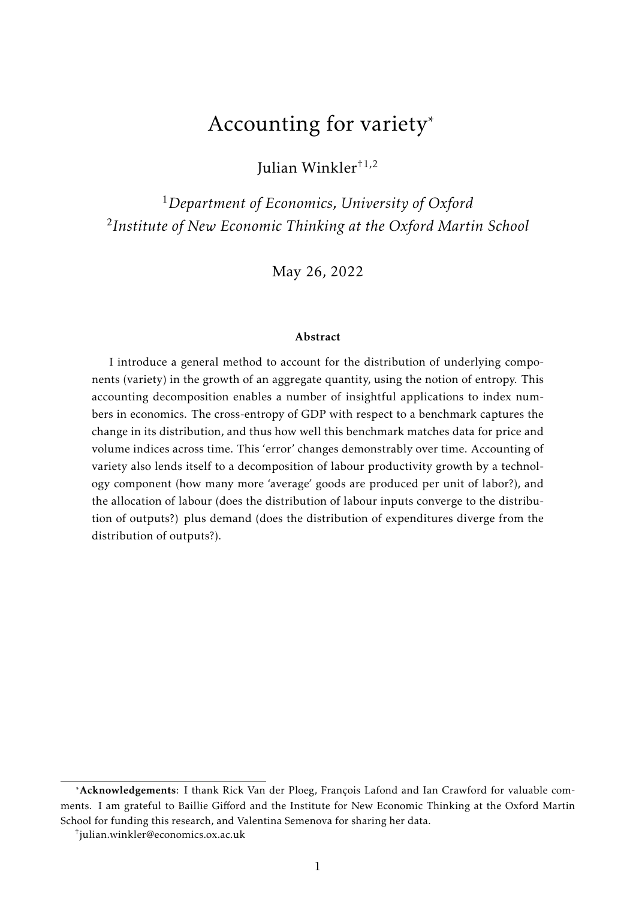# Accounting for variety\*

Julian Winkler†1,2

<sup>1</sup>*Department of Economics, University of Oxford* 2 *Institute of New Economic Thinking at the Oxford Martin School*

May 26, 2022

#### Abstract

I introduce a general method to account for the distribution of underlying components (variety) in the growth of an aggregate quantity, using the notion of entropy. This accounting decomposition enables a number of insightful applications to index numbers in economics. The cross-entropy of GDP with respect to a benchmark captures the change in its distribution, and thus how well this benchmark matches data for price and volume indices across time. This 'error' changes demonstrably over time. Accounting of variety also lends itself to a decomposition of labour productivity growth by a technology component (how many more 'average' goods are produced per unit of labor?), and the allocation of labour (does the distribution of labour inputs converge to the distribution of outputs?) plus demand (does the distribution of expenditures diverge from the distribution of outputs?).

<sup>\*</sup>Acknowledgements: I thank Rick Van der Ploeg, François Lafond and Ian Crawford for valuable comments. I am grateful to Baillie Gifford and the Institute for New Economic Thinking at the Oxford Martin School for funding this research, and Valentina Semenova for sharing her data.

<sup>†</sup> julian.winkler@economics.ox.ac.uk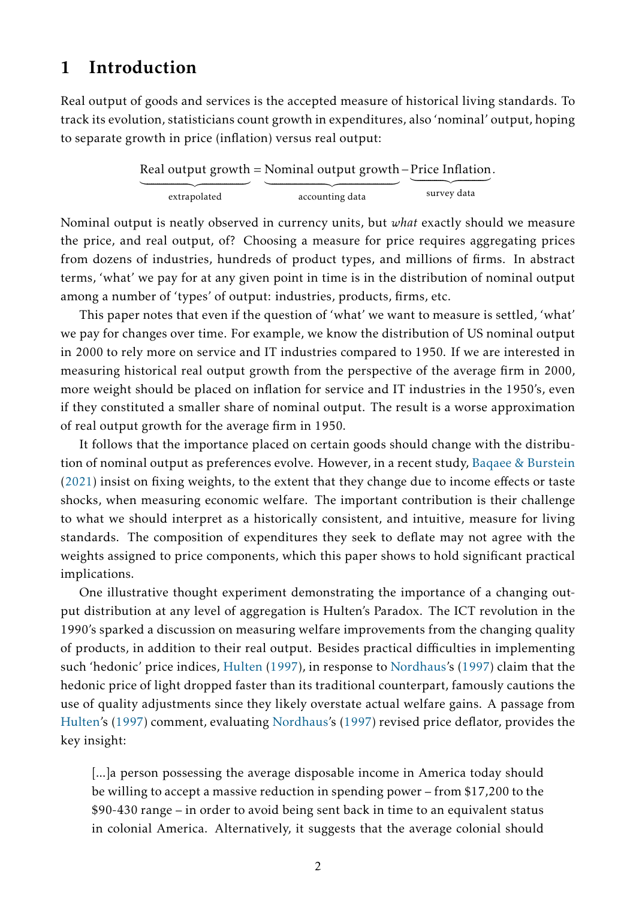## <span id="page-1-0"></span>1 Introduction

Real output of goods and services is the accepted measure of historical living standards. To track its evolution, statisticians count growth in expenditures, also 'nominal' output, hoping to separate growth in price (inflation) versus real output:

|              | Real output growth = Nominal output growth $-P$ rice Inflation. |             |
|--------------|-----------------------------------------------------------------|-------------|
|              |                                                                 |             |
| extrapolated | accounting data                                                 | survey data |

Nominal output is neatly observed in currency units, but *what* exactly should we measure the price, and real output, of? Choosing a measure for price requires aggregating prices from dozens of industries, hundreds of product types, and millions of firms. In abstract terms, 'what' we pay for at any given point in time is in the distribution of nominal output among a number of 'types' of output: industries, products, firms, etc.

This paper notes that even if the question of 'what' we want to measure is settled, 'what' we pay for changes over time. For example, we know the distribution of US nominal output in 2000 to rely more on service and IT industries compared to 1950. If we are interested in measuring historical real output growth from the perspective of the average firm in 2000, more weight should be placed on inflation for service and IT industries in the 1950's, even if they constituted a smaller share of nominal output. The result is a worse approximation of real output growth for the average firm in 1950.

It follows that the importance placed on certain goods should change with the distribution of nominal output as preferences evolve. However, in a recent study, [Baqaee & Burstein](#page-16-0) [\(2021\)](#page-16-0) insist on fixing weights, to the extent that they change due to income effects or taste shocks, when measuring economic welfare. The important contribution is their challenge to what we should interpret as a historically consistent, and intuitive, measure for living standards. The composition of expenditures they seek to deflate may not agree with the weights assigned to price components, which this paper shows to hold significant practical implications.

One illustrative thought experiment demonstrating the importance of a changing output distribution at any level of aggregation is Hulten's Paradox. The ICT revolution in the 1990's sparked a discussion on measuring welfare improvements from the changing quality of products, in addition to their real output. Besides practical difficulties in implementing such 'hedonic' price indices, [Hulten](#page-16-1) [\(1997\)](#page-16-1), in response to [Nordhaus'](#page-16-2)s [\(1997\)](#page-16-2) claim that the hedonic price of light dropped faster than its traditional counterpart, famously cautions the use of quality adjustments since they likely overstate actual welfare gains. A passage from [Hulten'](#page-16-1)s [\(1997\)](#page-16-1) comment, evaluating [Nordhaus'](#page-16-2)s [\(1997\)](#page-16-2) revised price deflator, provides the key insight:

[...]a person possessing the average disposable income in America today should be willing to accept a massive reduction in spending power – from \$17,200 to the \$90-430 range – in order to avoid being sent back in time to an equivalent status in colonial America. Alternatively, it suggests that the average colonial should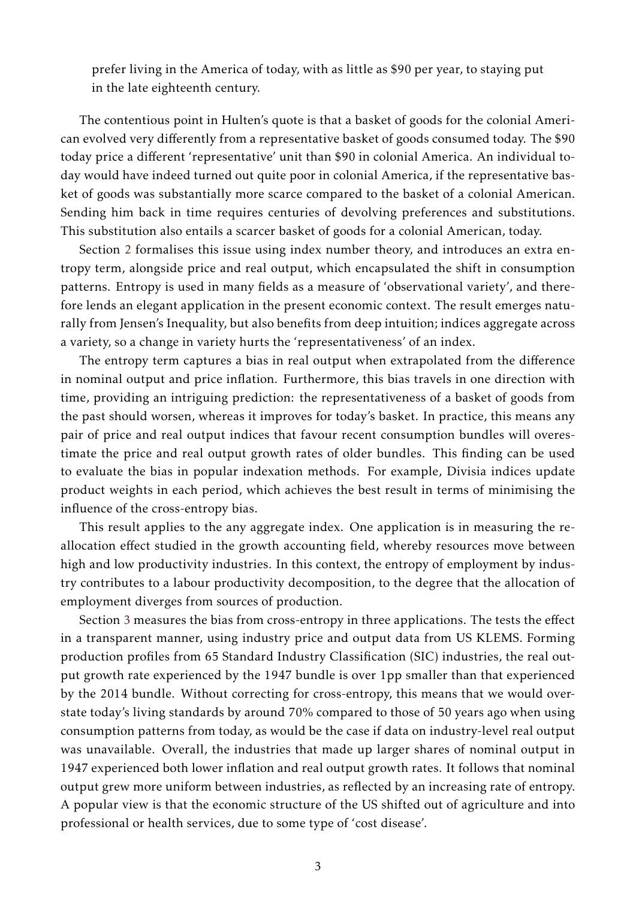prefer living in the America of today, with as little as \$90 per year, to staying put in the late eighteenth century.

The contentious point in Hulten's quote is that a basket of goods for the colonial American evolved very differently from a representative basket of goods consumed today. The \$90 today price a different 'representative' unit than \$90 in colonial America. An individual today would have indeed turned out quite poor in colonial America, if the representative basket of goods was substantially more scarce compared to the basket of a colonial American. Sending him back in time requires centuries of devolving preferences and substitutions. This substitution also entails a scarcer basket of goods for a colonial American, today.

Section [2](#page-3-0) formalises this issue using index number theory, and introduces an extra entropy term, alongside price and real output, which encapsulated the shift in consumption patterns. Entropy is used in many fields as a measure of 'observational variety', and therefore lends an elegant application in the present economic context. The result emerges naturally from Jensen's Inequality, but also benefits from deep intuition; indices aggregate across a variety, so a change in variety hurts the 'representativeness' of an index.

The entropy term captures a bias in real output when extrapolated from the difference in nominal output and price inflation. Furthermore, this bias travels in one direction with time, providing an intriguing prediction: the representativeness of a basket of goods from the past should worsen, whereas it improves for today's basket. In practice, this means any pair of price and real output indices that favour recent consumption bundles will overestimate the price and real output growth rates of older bundles. This finding can be used to evaluate the bias in popular indexation methods. For example, Divisia indices update product weights in each period, which achieves the best result in terms of minimising the influence of the cross-entropy bias.

This result applies to the any aggregate index. One application is in measuring the reallocation effect studied in the growth accounting field, whereby resources move between high and low productivity industries. In this context, the entropy of employment by industry contributes to a labour productivity decomposition, to the degree that the allocation of employment diverges from sources of production.

Section [3](#page-8-0) measures the bias from cross-entropy in three applications. The tests the effect in a transparent manner, using industry price and output data from US KLEMS. Forming production profiles from 65 Standard Industry Classification (SIC) industries, the real output growth rate experienced by the 1947 bundle is over 1pp smaller than that experienced by the 2014 bundle. Without correcting for cross-entropy, this means that we would overstate today's living standards by around 70% compared to those of 50 years ago when using consumption patterns from today, as would be the case if data on industry-level real output was unavailable. Overall, the industries that made up larger shares of nominal output in 1947 experienced both lower inflation and real output growth rates. It follows that nominal output grew more uniform between industries, as reflected by an increasing rate of entropy. A popular view is that the economic structure of the US shifted out of agriculture and into professional or health services, due to some type of 'cost disease'.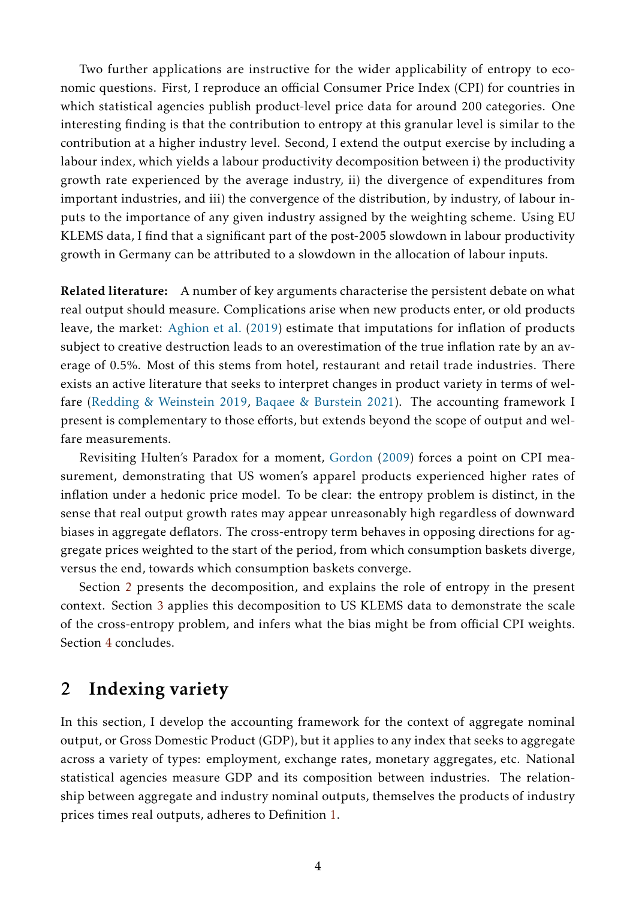Two further applications are instructive for the wider applicability of entropy to economic questions. First, I reproduce an official Consumer Price Index (CPI) for countries in which statistical agencies publish product-level price data for around 200 categories. One interesting finding is that the contribution to entropy at this granular level is similar to the contribution at a higher industry level. Second, I extend the output exercise by including a labour index, which yields a labour productivity decomposition between i) the productivity growth rate experienced by the average industry, ii) the divergence of expenditures from important industries, and iii) the convergence of the distribution, by industry, of labour inputs to the importance of any given industry assigned by the weighting scheme. Using EU KLEMS data, I find that a significant part of the post-2005 slowdown in labour productivity growth in Germany can be attributed to a slowdown in the allocation of labour inputs.

Related literature: A number of key arguments characterise the persistent debate on what real output should measure. Complications arise when new products enter, or old products leave, the market: [Aghion et al.](#page-16-3) [\(2019\)](#page-16-3) estimate that imputations for inflation of products subject to creative destruction leads to an overestimation of the true inflation rate by an average of 0.5%. Most of this stems from hotel, restaurant and retail trade industries. There exists an active literature that seeks to interpret changes in product variety in terms of welfare [\(Redding & Weinstein](#page-16-4) [2019,](#page-16-4) [Baqaee & Burstein](#page-16-0) [2021\)](#page-16-0). The accounting framework I present is complementary to those efforts, but extends beyond the scope of output and welfare measurements.

Revisiting Hulten's Paradox for a moment, [Gordon](#page-16-5) [\(2009\)](#page-16-5) forces a point on CPI measurement, demonstrating that US women's apparel products experienced higher rates of inflation under a hedonic price model. To be clear: the entropy problem is distinct, in the sense that real output growth rates may appear unreasonably high regardless of downward biases in aggregate deflators. The cross-entropy term behaves in opposing directions for aggregate prices weighted to the start of the period, from which consumption baskets diverge, versus the end, towards which consumption baskets converge.

Section [2](#page-3-0) presents the decomposition, and explains the role of entropy in the present context. Section [3](#page-8-0) applies this decomposition to US KLEMS data to demonstrate the scale of the cross-entropy problem, and infers what the bias might be from official CPI weights. Section [4](#page-15-0) concludes.

## <span id="page-3-0"></span>2 Indexing variety

In this section, I develop the accounting framework for the context of aggregate nominal output, or Gross Domestic Product (GDP), but it applies to any index that seeks to aggregate across a variety of types: employment, exchange rates, monetary aggregates, etc. National statistical agencies measure GDP and its composition between industries. The relationship between aggregate and industry nominal outputs, themselves the products of industry prices times real outputs, adheres to Definition [1.](#page-4-0)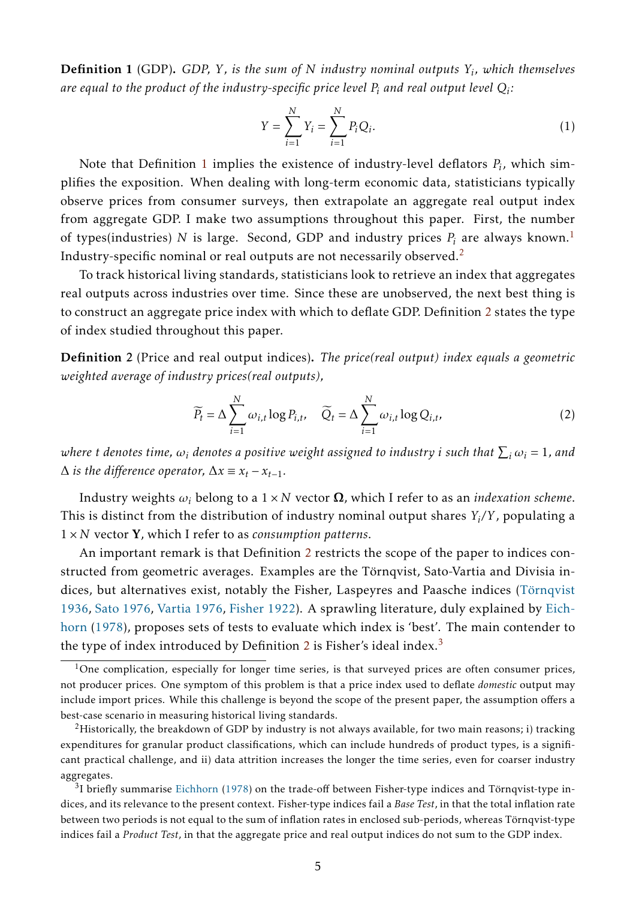<span id="page-4-0"></span>Definition 1 (GDP). *GDP, Y , is the sum of N industry nominal outputs Y<sup>i</sup> , which themselves* are equal to the product of the industry-specific price level  $P_i$  and real output level  $Q_i$ :

$$
Y = \sum_{i=1}^{N} Y_i = \sum_{i=1}^{N} P_i Q_i.
$$
 (1)

Note that Definition [1](#page-4-0) implies the existence of industry-level deflators *P<sup>i</sup>* , which simplifies the exposition. When dealing with long-term economic data, statisticians typically observe prices from consumer surveys, then extrapolate an aggregate real output index from aggregate GDP. I make two assumptions throughout this paper. First, the number of types(industries) N is large. Second, GDP and industry prices  $P_i$  are always known.<sup>[1](#page-4-1)</sup> Industry-specific nominal or real outputs are not necessarily observed.[2](#page-4-2)

To track historical living standards, statisticians look to retrieve an index that aggregates real outputs across industries over time. Since these are unobserved, the next best thing is to construct an aggregate price index with which to deflate GDP. Definition [2](#page-4-3) states the type of index studied throughout this paper.

<span id="page-4-3"></span>Definition 2 (Price and real output indices). *The price(real output) index equals a geometric weighted average of industry prices(real outputs),*

$$
\widetilde{P_t} = \Delta \sum_{i=1}^{N} \omega_{i,t} \log P_{i,t}, \quad \widetilde{Q}_t = \Delta \sum_{i=1}^{N} \omega_{i,t} \log Q_{i,t}, \tag{2}
$$

 $\omega$  *denotes time,*  $\omega_i$  *denotes a positive weight assigned to industry*  $i$  *such that*  $\sum_i \omega_i = 1$ *, and*  $\Delta$  *is the difference operator,*  $\Delta x \equiv x_t - x_{t-1}$ .

Industry weights *ω<sup>i</sup>* belong to a 1 × *N* vector Ω, which I refer to as an *indexation scheme*. This is distinct from the distribution of industry nominal output shares *Y<sup>i</sup> /Y* , populating a 1 × *N* vector Y, which I refer to as *consumption patterns*.

An important remark is that Definition [2](#page-4-3) restricts the scope of the paper to indices constructed from geometric averages. Examples are the Törnqvist, Sato-Vartia and Divisia indices, but alternatives exist, notably the Fisher, Laspeyres and Paasche indices (Törnqvist [1936,](#page-17-0) [Sato](#page-16-6) [1976,](#page-16-6) [Vartia](#page-17-1) [1976,](#page-17-1) [Fisher](#page-16-7) [1922\)](#page-16-7). A sprawling literature, duly explained by [Eich](#page-16-8)[horn](#page-16-8) [\(1978\)](#page-16-8), proposes sets of tests to evaluate which index is 'best'. The main contender to the type of index introduced by Definition [2](#page-4-3) is Fisher's ideal index. $3$ 

<span id="page-4-1"></span><sup>&</sup>lt;sup>1</sup>One complication, especially for longer time series, is that surveyed prices are often consumer prices, not producer prices. One symptom of this problem is that a price index used to deflate *domestic* output may include import prices. While this challenge is beyond the scope of the present paper, the assumption offers a best-case scenario in measuring historical living standards.

<span id="page-4-2"></span><sup>&</sup>lt;sup>2</sup>Historically, the breakdown of GDP by industry is not always available, for two main reasons; i) tracking expenditures for granular product classifications, which can include hundreds of product types, is a significant practical challenge, and ii) data attrition increases the longer the time series, even for coarser industry aggregates.

<span id="page-4-4"></span> $3$ I briefly summarise [Eichhorn](#page-16-8) [\(1978\)](#page-16-8) on the trade-off between Fisher-type indices and Törnqvist-type indices, and its relevance to the present context. Fisher-type indices fail a *Base Test*, in that the total inflation rate between two periods is not equal to the sum of inflation rates in enclosed sub-periods, whereas Törnqvist-type indices fail a *Product Test*, in that the aggregate price and real output indices do not sum to the GDP index.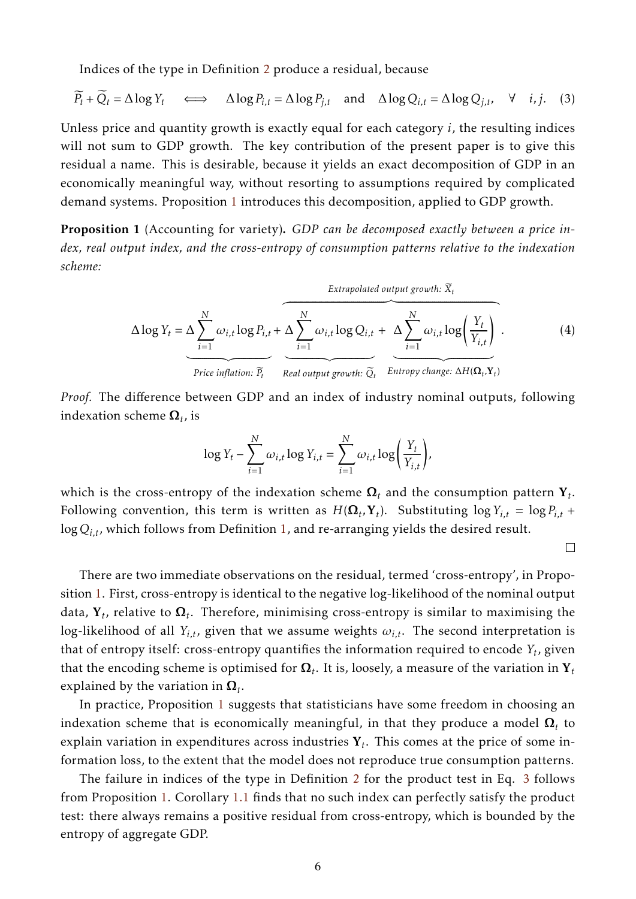Indices of the type in Definition [2](#page-4-3) produce a residual, because

$$
\widetilde{P}_t + \widetilde{Q}_t = \Delta \log Y_t \quad \Longleftrightarrow \quad \Delta \log P_{i,t} = \Delta \log P_{j,t} \quad \text{and} \quad \Delta \log Q_{i,t} = \Delta \log Q_{j,t}, \quad \forall \quad i,j. \tag{3}
$$

Unless price and quantity growth is exactly equal for each category *i*, the resulting indices will not sum to GDP growth. The key contribution of the present paper is to give this residual a name. This is desirable, because it yields an exact decomposition of GDP in an economically meaningful way, without resorting to assumptions required by complicated demand systems. Proposition [1](#page-5-0) introduces this decomposition, applied to GDP growth.

<span id="page-5-0"></span>Proposition 1 (Accounting for variety). *GDP can be decomposed exactly between a price index, real output index, and the cross-entropy of consumption patterns relative to the indexation scheme:*

$$
\Delta \log Y_t = \Delta \sum_{i=1}^{N} \omega_{i,t} \log P_{i,t} + \Delta \sum_{i=1}^{N} \omega_{i,t} \log Q_{i,t} + \Delta \sum_{i=1}^{N} \omega_{i,t} \log \left( \frac{Y_t}{Y_{i,t}} \right).
$$
\n(4)  
\nPrice inflation:  $\overline{P_t}$  Real output growth:  $\overline{Q_t}$  Entropy change:  $\Delta H(\Omega_t, Y_t)$ 

*Proof.* The difference between GDP and an index of industry nominal outputs, following indexation scheme  $\boldsymbol{\Omega} _t$ , is

$$
\log Y_t - \sum_{i=1}^N \omega_{i,t} \log Y_{i,t} = \sum_{i=1}^N \omega_{i,t} \log \left( \frac{Y_t}{Y_{i,t}} \right),
$$

which is the cross-entropy of the indexation scheme  $\boldsymbol{\Omega} _t$  and the consumption pattern  $\textbf{Y}_t.$ Following convention, this term is written as  $H(\mathbf{\Omega}_t, \mathbf{Y}_t)$ . Substituting  $\log Y_{i,t} = \log P_{i,t} +$ log*Qi,t*, which follows from Definition [1,](#page-4-0) and re-arranging yields the desired result.

<span id="page-5-2"></span><span id="page-5-1"></span> $\Box$ 

There are two immediate observations on the residual, termed 'cross-entropy', in Proposition [1.](#page-5-0) First, cross-entropy is identical to the negative log-likelihood of the nominal output data,  $\mathbf{Y}_t$ , relative to  $\boldsymbol{\Omega}_t$ . Therefore, minimising cross-entropy is similar to maximising the log-likelihood of all  $Y_{i,t}$ , given that we assume weights  $\omega_{i,t}$ . The second interpretation is that of entropy itself: cross-entropy quantifies the information required to encode *Y<sup>t</sup>* , given that the encoding scheme is optimised for  $\boldsymbol{\Omega}_t.$  It is, loosely, a measure of the variation in  $\mathbf{Y}_t$ explained by the variation in  $\boldsymbol{\Omega}_t.$ 

In practice, Proposition [1](#page-5-0) suggests that statisticians have some freedom in choosing an indexation scheme that is economically meaningful, in that they produce a model  $\boldsymbol{\Omega} _t$  to explain variation in expenditures across industries Y*<sup>t</sup>* . This comes at the price of some information loss, to the extent that the model does not reproduce true consumption patterns.

The failure in indices of the type in Definition [2](#page-4-3) for the product test in Eq. [3](#page-5-1) follows from Proposition [1.](#page-5-0) Corollary [1.1](#page-6-0) finds that no such index can perfectly satisfy the product test: there always remains a positive residual from cross-entropy, which is bounded by the entropy of aggregate GDP.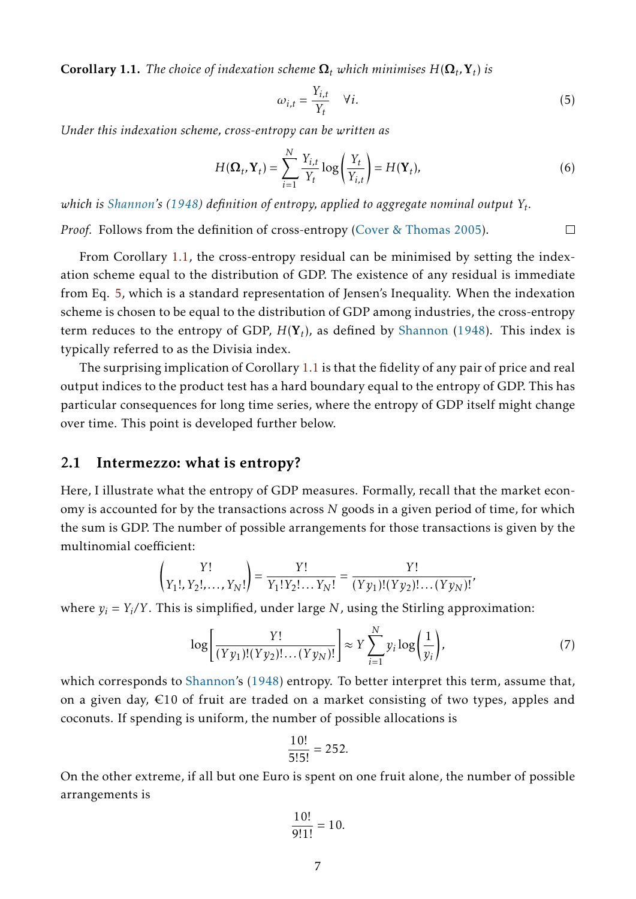<span id="page-6-0"></span>**Corollary 1.1.** The choice of indexation scheme  $\mathbf{\Omega}_t$  which minimises  $H(\mathbf{\Omega}_t, \mathbf{Y}_t)$  is

<span id="page-6-1"></span>
$$
\omega_{i,t} = \frac{Y_{i,t}}{Y_t} \quad \forall i. \tag{5}
$$

*Under this indexation scheme, cross-entropy can be written as*

$$
H(\mathbf{\Omega}_t, \mathbf{Y}_t) = \sum_{i=1}^N \frac{Y_{i,t}}{Y_t} \log \left( \frac{Y_t}{Y_{i,t}} \right) = H(\mathbf{Y}_t),
$$
\n(6)

*which is [Shannon'](#page-16-9)s [\(1948\)](#page-16-9) definition of entropy, applied to aggregate nominal output Y<sup>t</sup> .*

*Proof.* Follows from the definition of cross-entropy [\(Cover & Thomas](#page-16-10) [2005\)](#page-16-10).  $\Box$ 

From Corollary [1.1,](#page-6-0) the cross-entropy residual can be minimised by setting the indexation scheme equal to the distribution of GDP. The existence of any residual is immediate from Eq. [5,](#page-6-1) which is a standard representation of Jensen's Inequality. When the indexation scheme is chosen to be equal to the distribution of GDP among industries, the cross-entropy term reduces to the entropy of GDP, *H*(Y*<sup>t</sup>* ), as defined by [Shannon](#page-16-9) [\(1948\)](#page-16-9). This index is typically referred to as the Divisia index.

The surprising implication of Corollary [1.1](#page-6-0) is that the fidelity of any pair of price and real output indices to the product test has a hard boundary equal to the entropy of GDP. This has particular consequences for long time series, where the entropy of GDP itself might change over time. This point is developed further below.

### 2.1 Intermezzo: what is entropy?

Here, I illustrate what the entropy of GDP measures. Formally, recall that the market economy is accounted for by the transactions across *N* goods in a given period of time, for which the sum is GDP. The number of possible arrangements for those transactions is given by the multinomial coefficient:

$$
\binom{Y!}{Y_1!, Y_2!, \dots, Y_N!} = \frac{Y!}{Y_1! Y_2! \dots Y_N!} = \frac{Y!}{(Y y_1)! (Y y_2)! \dots (Y y_N)!},
$$

where *y<sup>i</sup>* = *Y<sup>i</sup> /Y* . This is simplified, under large *N*, using the Stirling approximation:

$$
\log\left[\frac{Y!}{(Yy_1)!(Yy_2)!\dots(Yy_N)!}\right] \approx Y \sum_{i=1}^N y_i \log\left(\frac{1}{y_i}\right),\tag{7}
$$

which corresponds to [Shannon'](#page-16-9)s [\(1948\)](#page-16-9) entropy. To better interpret this term, assume that, on a given day,  $\epsilon$ 10 of fruit are traded on a market consisting of two types, apples and coconuts. If spending is uniform, the number of possible allocations is

$$
\frac{10!}{5!5!} = 252.
$$

On the other extreme, if all but one Euro is spent on one fruit alone, the number of possible arrangements is

$$
\frac{10!}{9!1!} = 10.
$$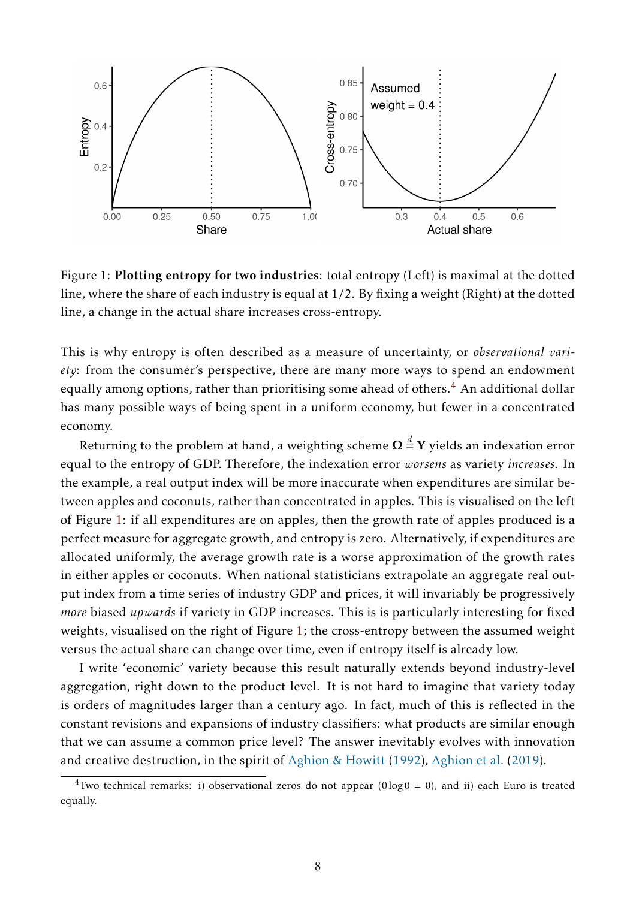<span id="page-7-1"></span>

Figure 1: Plotting entropy for two industries: total entropy (Left) is maximal at the dotted line, where the share of each industry is equal at 1/2. By fixing a weight (Right) at the dotted line, a change in the actual share increases cross-entropy.

This is why entropy is often described as a measure of uncertainty, or *observational variety*: from the consumer's perspective, there are many more ways to spend an endowment equally among options, rather than prioritising some ahead of others.<sup>[4](#page-7-0)</sup> An additional dollar has many possible ways of being spent in a uniform economy, but fewer in a concentrated economy.

Returning to the problem at hand, a weighting scheme  $\boldsymbol{\Omega} \overset{d}{=} \boldsymbol{\Upsilon}$  yields an indexation error equal to the entropy of GDP. Therefore, the indexation error *worsens* as variety *increases*. In the example, a real output index will be more inaccurate when expenditures are similar between apples and coconuts, rather than concentrated in apples. This is visualised on the left of Figure [1:](#page-7-1) if all expenditures are on apples, then the growth rate of apples produced is a perfect measure for aggregate growth, and entropy is zero. Alternatively, if expenditures are allocated uniformly, the average growth rate is a worse approximation of the growth rates in either apples or coconuts. When national statisticians extrapolate an aggregate real output index from a time series of industry GDP and prices, it will invariably be progressively *more* biased *upwards* if variety in GDP increases. This is is particularly interesting for fixed weights, visualised on the right of Figure [1;](#page-7-1) the cross-entropy between the assumed weight versus the actual share can change over time, even if entropy itself is already low.

I write 'economic' variety because this result naturally extends beyond industry-level aggregation, right down to the product level. It is not hard to imagine that variety today is orders of magnitudes larger than a century ago. In fact, much of this is reflected in the constant revisions and expansions of industry classifiers: what products are similar enough that we can assume a common price level? The answer inevitably evolves with innovation and creative destruction, in the spirit of [Aghion & Howitt](#page-16-11) [\(1992\)](#page-16-11), [Aghion et al.](#page-16-3) [\(2019\)](#page-16-3).

<span id="page-7-0"></span><sup>&</sup>lt;sup>4</sup>Two technical remarks: i) observational zeros do not appear ( $0 \log 0 = 0$ ), and ii) each Euro is treated equally.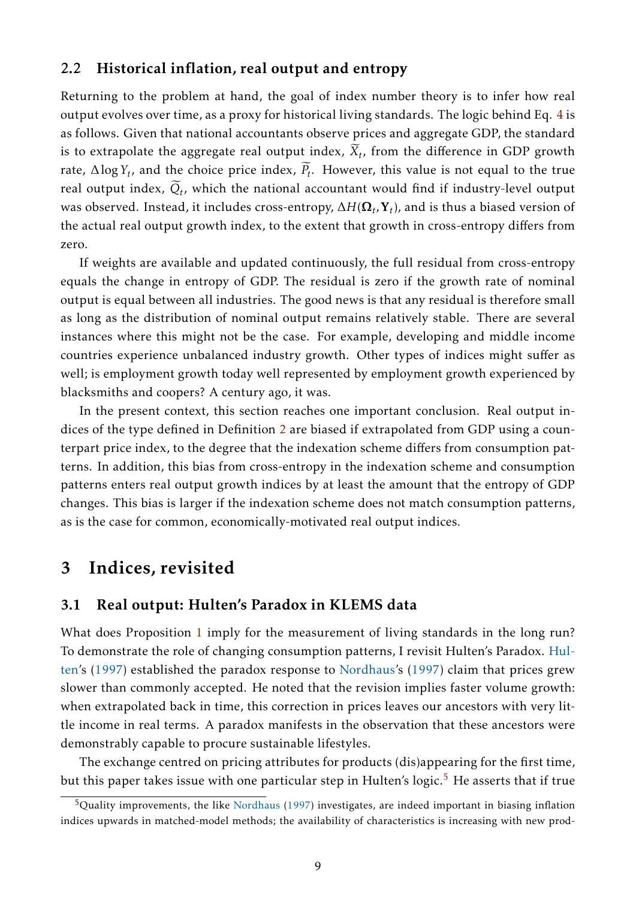### 2.2 Historical inflation, real output and entropy

Returning to the problem at hand, the goal of index number theory is to infer how real output evolves over time, as a proxy for historical living standards. The logic behind Eq. [4](#page-5-2) is as follows. Given that national accountants observe prices and aggregate GDP, the standard is to extrapolate the aggregate real output index,  $X_t$ , from the difference in GDP growth rate,  $\Delta \log Y_t$ , and the choice price index,  $P_t$ . However, this value is not equal to the true real output index,  $Q_t$ , which the national accountant would find if industry-level output was observed. Instead, it includes cross-entropy, ∆*H*(Ω*<sup>t</sup> ,*Y*<sup>t</sup>* ), and is thus a biased version of the actual real output growth index, to the extent that growth in cross-entropy differs from zero.

If weights are available and updated continuously, the full residual from cross-entropy equals the change in entropy of GDP. The residual is zero if the growth rate of nominal output is equal between all industries. The good news is that any residual is therefore small as long as the distribution of nominal output remains relatively stable. There are several instances where this might not be the case. For example, developing and middle income countries experience unbalanced industry growth. Other types of indices might suffer as well; is employment growth today well represented by employment growth experienced by blacksmiths and coopers? A century ago, it was.

In the present context, this section reaches one important conclusion. Real output indices of the type defined in Definition [2](#page-4-3) are biased if extrapolated from GDP using a counterpart price index, to the degree that the indexation scheme differs from consumption patterns. In addition, this bias from cross-entropy in the indexation scheme and consumption patterns enters real output growth indices by at least the amount that the entropy of GDP changes. This bias is larger if the indexation scheme does not match consumption patterns, as is the case for common, economically-motivated real output indices.

### <span id="page-8-0"></span>3 Indices, revisited

### 3.1 Real output: Hulten's Paradox in KLEMS data

What does Proposition [1](#page-5-0) imply for the measurement of living standards in the long run? To demonstrate the role of changing consumption patterns, I revisit Hulten's Paradox. [Hul](#page-16-1)[ten'](#page-16-1)s [\(1997\)](#page-16-1) established the paradox response to [Nordhaus'](#page-16-2)s [\(1997\)](#page-16-2) claim that prices grew slower than commonly accepted. He noted that the revision implies faster volume growth: when extrapolated back in time, this correction in prices leaves our ancestors with very little income in real terms. A paradox manifests in the observation that these ancestors were demonstrably capable to procure sustainable lifestyles.

The exchange centred on pricing attributes for products (dis)appearing for the first time, but this paper takes issue with one particular step in Hulten's logic.<sup>[5](#page-8-1)</sup> He asserts that if true

<span id="page-8-1"></span><sup>5</sup>Quality improvements, the like [Nordhaus](#page-16-2) [\(1997\)](#page-16-2) investigates, are indeed important in biasing inflation indices upwards in matched-model methods; the availability of characteristics is increasing with new prod-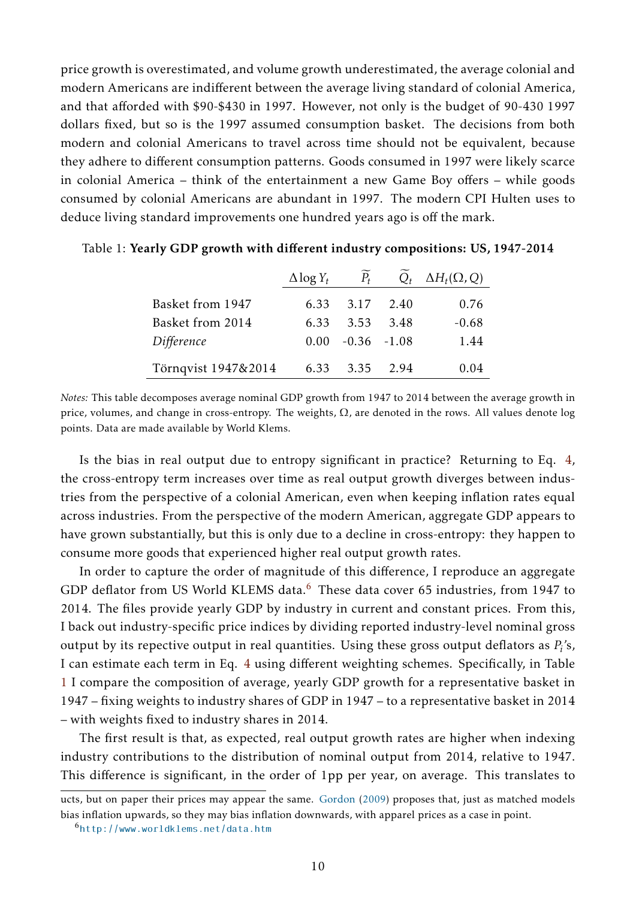price growth is overestimated, and volume growth underestimated, the average colonial and modern Americans are indifferent between the average living standard of colonial America, and that afforded with \$90-\$430 in 1997. However, not only is the budget of 90-430 1997 dollars fixed, but so is the 1997 assumed consumption basket. The decisions from both modern and colonial Americans to travel across time should not be equivalent, because they adhere to different consumption patterns. Goods consumed in 1997 were likely scarce in colonial America – think of the entertainment a new Game Boy offers – while goods consumed by colonial Americans are abundant in 1997. The modern CPI Hulten uses to deduce living standard improvements one hundred years ago is off the mark.

|                     | $\Delta$ log $Y_t$ | $\widetilde{P_t}$ |      | $Q_t$ $\Delta H_t(\Omega, Q)$ |
|---------------------|--------------------|-------------------|------|-------------------------------|
| Basket from 1947    |                    | 6.33 3.17         | 2.40 | 0.76                          |
| Basket from 2014    | 6.33               | 3.53              | 3.48 | $-0.68$                       |
| Difference          | 0.00               | $-0.36 -1.08$     |      | 1.44                          |
| Törnqvist 1947&2014 | 6.33               | 3.35              | 2.94 | 0.04                          |

<span id="page-9-1"></span>

|  |  | Table 1: Yearly GDP growth with different industry compositions: US, 1947-2014 |  |  |
|--|--|--------------------------------------------------------------------------------|--|--|
|--|--|--------------------------------------------------------------------------------|--|--|

*Notes:* This table decomposes average nominal GDP growth from 1947 to 2014 between the average growth in price, volumes, and change in cross-entropy. The weights,  $\Omega$ , are denoted in the rows. All values denote log points. Data are made available by World Klems.

Is the bias in real output due to entropy significant in practice? Returning to Eq. [4,](#page-5-2) the cross-entropy term increases over time as real output growth diverges between industries from the perspective of a colonial American, even when keeping inflation rates equal across industries. From the perspective of the modern American, aggregate GDP appears to have grown substantially, but this is only due to a decline in cross-entropy: they happen to consume more goods that experienced higher real output growth rates.

In order to capture the order of magnitude of this difference, I reproduce an aggregate GDP deflator from US World KLEMS data.<sup>[6](#page-9-0)</sup> These data cover 65 industries, from 1947 to 2014. The files provide yearly GDP by industry in current and constant prices. From this, I back out industry-specific price indices by dividing reported industry-level nominal gross output by its repective output in real quantities. Using these gross output deflators as  $P_i$ 's, I can estimate each term in Eq. [4](#page-5-2) using different weighting schemes. Specifically, in Table [1](#page-9-1) I compare the composition of average, yearly GDP growth for a representative basket in 1947 – fixing weights to industry shares of GDP in 1947 – to a representative basket in 2014 – with weights fixed to industry shares in 2014.

The first result is that, as expected, real output growth rates are higher when indexing industry contributions to the distribution of nominal output from 2014, relative to 1947. This difference is significant, in the order of 1pp per year, on average. This translates to

ucts, but on paper their prices may appear the same. [Gordon](#page-16-5) [\(2009\)](#page-16-5) proposes that, just as matched models bias inflation upwards, so they may bias inflation downwards, with apparel prices as a case in point.

<span id="page-9-0"></span><sup>6</sup><http://www.worldklems.net/data.htm>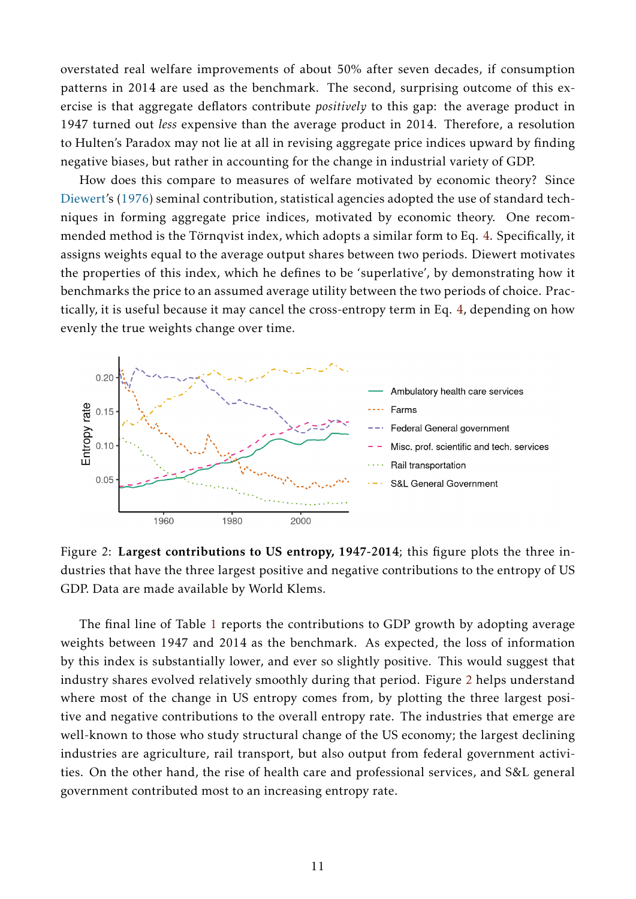overstated real welfare improvements of about 50% after seven decades, if consumption patterns in 2014 are used as the benchmark. The second, surprising outcome of this exercise is that aggregate deflators contribute *positively* to this gap: the average product in 1947 turned out *less* expensive than the average product in 2014. Therefore, a resolution to Hulten's Paradox may not lie at all in revising aggregate price indices upward by finding negative biases, but rather in accounting for the change in industrial variety of GDP.

How does this compare to measures of welfare motivated by economic theory? Since [Diewert'](#page-16-12)s [\(1976\)](#page-16-12) seminal contribution, statistical agencies adopted the use of standard techniques in forming aggregate price indices, motivated by economic theory. One recom-mended method is the Törnqvist index, which adopts a similar form to Eq. [4.](#page-5-2) Specifically, it assigns weights equal to the average output shares between two periods. Diewert motivates the properties of this index, which he defines to be 'superlative', by demonstrating how it benchmarks the price to an assumed average utility between the two periods of choice. Practically, it is useful because it may cancel the cross-entropy term in Eq. [4,](#page-5-2) depending on how evenly the true weights change over time.

<span id="page-10-0"></span>

Figure 2: Largest contributions to US entropy, 1947-2014; this figure plots the three industries that have the three largest positive and negative contributions to the entropy of US GDP. Data are made available by World Klems.

The final line of Table [1](#page-9-1) reports the contributions to GDP growth by adopting average weights between 1947 and 2014 as the benchmark. As expected, the loss of information by this index is substantially lower, and ever so slightly positive. This would suggest that industry shares evolved relatively smoothly during that period. Figure [2](#page-10-0) helps understand where most of the change in US entropy comes from, by plotting the three largest positive and negative contributions to the overall entropy rate. The industries that emerge are well-known to those who study structural change of the US economy; the largest declining industries are agriculture, rail transport, but also output from federal government activities. On the other hand, the rise of health care and professional services, and S&L general government contributed most to an increasing entropy rate.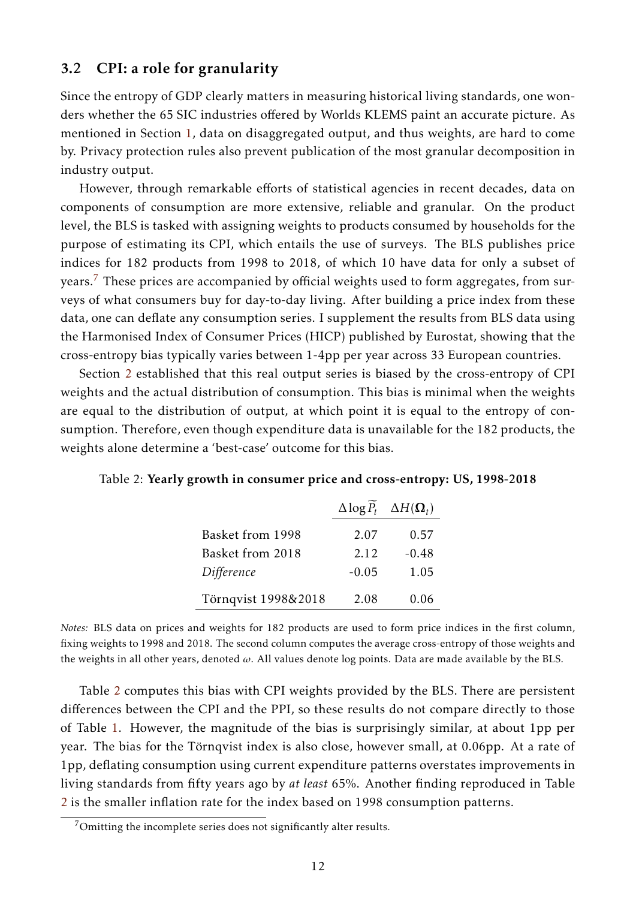### 3.2 CPI: a role for granularity

Since the entropy of GDP clearly matters in measuring historical living standards, one wonders whether the 65 SIC industries offered by Worlds KLEMS paint an accurate picture. As mentioned in Section [1,](#page-1-0) data on disaggregated output, and thus weights, are hard to come by. Privacy protection rules also prevent publication of the most granular decomposition in industry output.

However, through remarkable efforts of statistical agencies in recent decades, data on components of consumption are more extensive, reliable and granular. On the product level, the BLS is tasked with assigning weights to products consumed by households for the purpose of estimating its CPI, which entails the use of surveys. The BLS publishes price indices for 182 products from 1998 to 2018, of which 10 have data for only a subset of years.<sup>[7](#page-11-0)</sup> These prices are accompanied by official weights used to form aggregates, from surveys of what consumers buy for day-to-day living. After building a price index from these data, one can deflate any consumption series. I supplement the results from BLS data using the Harmonised Index of Consumer Prices (HICP) published by Eurostat, showing that the cross-entropy bias typically varies between 1-4pp per year across 33 European countries.

Section [2](#page-3-0) established that this real output series is biased by the cross-entropy of CPI weights and the actual distribution of consumption. This bias is minimal when the weights are equal to the distribution of output, at which point it is equal to the entropy of consumption. Therefore, even though expenditure data is unavailable for the 182 products, the weights alone determine a 'best-case' outcome for this bias.

|                     |         | $\Delta \log P_t$ $\Delta H(\Omega_t)$ |
|---------------------|---------|----------------------------------------|
| Basket from 1998    | 2.07    | 0.57                                   |
| Basket from 2018    | 2.12    | $-0.48$                                |
| Difference          | $-0.05$ | 1.05                                   |
| Törnqvist 1998&2018 | 2.08    | 0.06                                   |

<span id="page-11-1"></span>Table 2: Yearly growth in consumer price and cross-entropy: US, 1998-2018

*Notes:* BLS data on prices and weights for 182 products are used to form price indices in the first column, fixing weights to 1998 and 2018. The second column computes the average cross-entropy of those weights and the weights in all other years, denoted *ω*. All values denote log points. Data are made available by the BLS.

Table [2](#page-11-1) computes this bias with CPI weights provided by the BLS. There are persistent differences between the CPI and the PPI, so these results do not compare directly to those of Table [1.](#page-9-1) However, the magnitude of the bias is surprisingly similar, at about 1pp per year. The bias for the Törnqvist index is also close, however small, at 0.06pp. At a rate of 1pp, deflating consumption using current expenditure patterns overstates improvements in living standards from fifty years ago by *at least* 65%. Another finding reproduced in Table [2](#page-11-1) is the smaller inflation rate for the index based on 1998 consumption patterns.

<span id="page-11-0"></span><sup>7</sup>Omitting the incomplete series does not significantly alter results.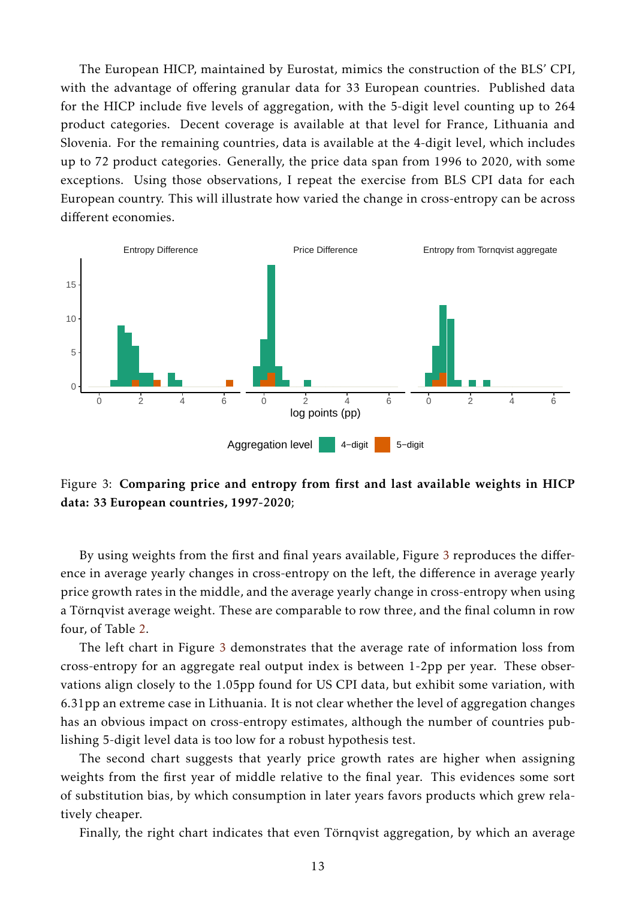The European HICP, maintained by Eurostat, mimics the construction of the BLS' CPI, with the advantage of offering granular data for 33 European countries. Published data for the HICP include five levels of aggregation, with the 5-digit level counting up to 264 product categories. Decent coverage is available at that level for France, Lithuania and Slovenia. For the remaining countries, data is available at the 4-digit level, which includes up to 72 product categories. Generally, the price data span from 1996 to 2020, with some exceptions. Using those observations, I repeat the exercise from BLS CPI data for each European country. This will illustrate how varied the change in cross-entropy can be across different economies.

<span id="page-12-0"></span>

Figure 3: Comparing price and entropy from first and last available weights in HICP data: 33 European countries, 1997-2020;

By using weights from the first and final years available, Figure [3](#page-12-0) reproduces the difference in average yearly changes in cross-entropy on the left, the difference in average yearly price growth rates in the middle, and the average yearly change in cross-entropy when using a Törnqvist average weight. These are comparable to row three, and the final column in row four, of Table [2.](#page-11-1)

The left chart in Figure [3](#page-12-0) demonstrates that the average rate of information loss from cross-entropy for an aggregate real output index is between 1-2pp per year. These observations align closely to the 1.05pp found for US CPI data, but exhibit some variation, with 6.31pp an extreme case in Lithuania. It is not clear whether the level of aggregation changes has an obvious impact on cross-entropy estimates, although the number of countries publishing 5-digit level data is too low for a robust hypothesis test.

The second chart suggests that yearly price growth rates are higher when assigning weights from the first year of middle relative to the final year. This evidences some sort of substitution bias, by which consumption in later years favors products which grew relatively cheaper.

Finally, the right chart indicates that even Törnqvist aggregation, by which an average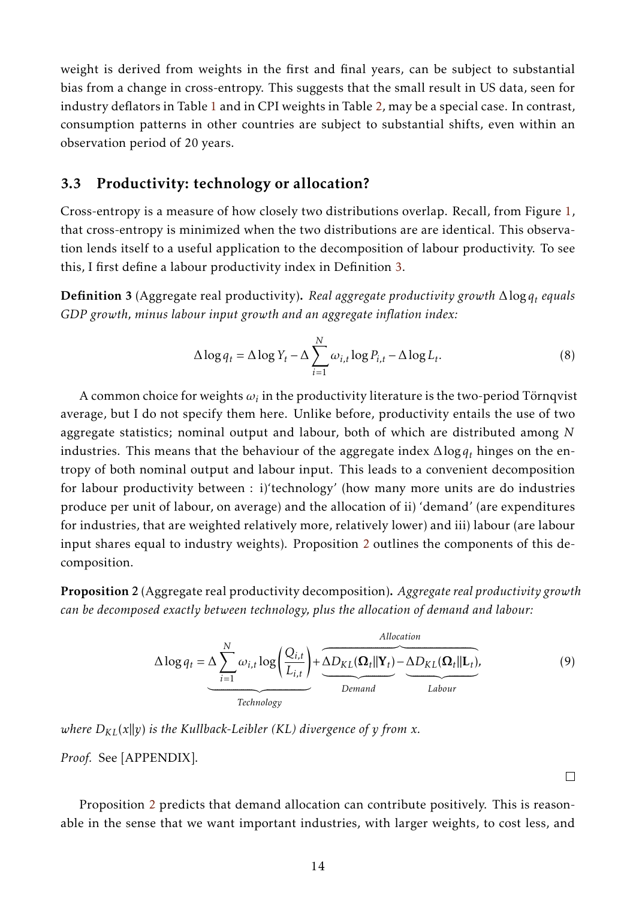weight is derived from weights in the first and final years, can be subject to substantial bias from a change in cross-entropy. This suggests that the small result in US data, seen for industry deflators in Table [1](#page-9-1) and in CPI weights in Table [2,](#page-11-1) may be a special case. In contrast, consumption patterns in other countries are subject to substantial shifts, even within an observation period of 20 years.

### 3.3 Productivity: technology or allocation?

Cross-entropy is a measure of how closely two distributions overlap. Recall, from Figure [1,](#page-7-1) that cross-entropy is minimized when the two distributions are are identical. This observation lends itself to a useful application to the decomposition of labour productivity. To see this, I first define a labour productivity index in Definition [3.](#page-13-0)

<span id="page-13-0"></span>Definition 3 (Aggregate real productivity). *Real aggregate productivity growth* ∆log*q<sup>t</sup> equals GDP growth, minus labour input growth and an aggregate inflation index:*

$$
\Delta \log q_t = \Delta \log Y_t - \Delta \sum_{i=1}^{N} \omega_{i,t} \log P_{i,t} - \Delta \log L_t.
$$
 (8)

A common choice for weights  $\omega_i$  in the productivity literature is the two-period Törnqvist average, but I do not specify them here. Unlike before, productivity entails the use of two aggregate statistics; nominal output and labour, both of which are distributed among *N* industries. This means that the behaviour of the aggregate index ∆log*q<sup>t</sup>* hinges on the entropy of both nominal output and labour input. This leads to a convenient decomposition for labour productivity between : i)'technology' (how many more units are do industries produce per unit of labour, on average) and the allocation of ii) 'demand' (are expenditures for industries, that are weighted relatively more, relatively lower) and iii) labour (are labour input shares equal to industry weights). Proposition [2](#page-13-1) outlines the components of this decomposition.

<span id="page-13-1"></span>Proposition 2 (Aggregate real productivity decomposition). *Aggregate real productivity growth can be decomposed exactly between technology, plus the allocation of demand and labour:*

$$
\Delta \log q_t = \Delta \sum_{i=1}^{N} \omega_{i,t} \log \left( \frac{Q_{i,t}}{L_{i,t}} \right) + \underbrace{\underbrace{\Delta D_{KL}(\Omega_t || \mathbf{Y}_t) - \Delta D_{KL}(\Omega_t || \mathbf{L}_t)}_{\text{Lemma}}}_{\text{Lemma}}.
$$
(9)

<span id="page-13-2"></span> $\Box$ 

*where*  $D_{KL}(x||y)$  *is the Kullback-Leibler* (*KL*) *divergence* of *y* from *x*.

*Proof.* See [APPENDIX].

Proposition [2](#page-13-1) predicts that demand allocation can contribute positively. This is reasonable in the sense that we want important industries, with larger weights, to cost less, and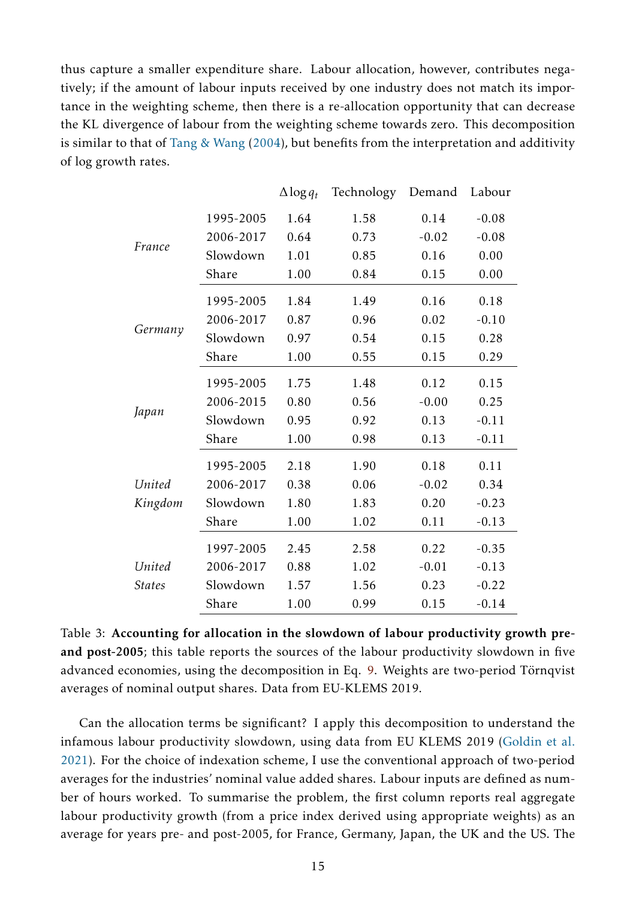thus capture a smaller expenditure share. Labour allocation, however, contributes negatively; if the amount of labour inputs received by one industry does not match its importance in the weighting scheme, then there is a re-allocation opportunity that can decrease the KL divergence of labour from the weighting scheme towards zero. This decomposition is similar to that of [Tang & Wang](#page-17-2) [\(2004\)](#page-17-2), but benefits from the interpretation and additivity of log growth rates.

|                         |           | $\Delta$ log $q_t$ | Technology | Demand  | Labour  |
|-------------------------|-----------|--------------------|------------|---------|---------|
| France                  | 1995-2005 | 1.64               | 1.58       | 0.14    | $-0.08$ |
|                         | 2006-2017 | 0.64               | 0.73       | $-0.02$ | $-0.08$ |
|                         | Slowdown  | 1.01               | 0.85       | 0.16    | 0.00    |
|                         | Share     | 1.00               | 0.84       | 0.15    | 0.00    |
|                         | 1995-2005 | 1.84               | 1.49       | 0.16    | 0.18    |
|                         | 2006-2017 | 0.87               | 0.96       | 0.02    | $-0.10$ |
| Germany                 | Slowdown  | 0.97               | 0.54       | 0.15    | 0.28    |
|                         | Share     | 1.00               | 0.55       | 0.15    | 0.29    |
|                         | 1995-2005 | 1.75               | 1.48       | 0.12    | 0.15    |
|                         | 2006-2015 | 0.80               | 0.56       | $-0.00$ | 0.25    |
| Japan                   | Slowdown  | 0.95               | 0.92       | 0.13    | $-0.11$ |
|                         | Share     | 1.00               | 0.98       | 0.13    | $-0.11$ |
| United<br>Kingdom       | 1995-2005 | 2.18               | 1.90       | 0.18    | 0.11    |
|                         | 2006-2017 | 0.38               | 0.06       | $-0.02$ | 0.34    |
|                         | Slowdown  | 1.80               | 1.83       | 0.20    | $-0.23$ |
|                         | Share     | 1.00               | 1.02       | 0.11    | $-0.13$ |
| United<br><b>States</b> | 1997-2005 | 2.45               | 2.58       | 0.22    | $-0.35$ |
|                         | 2006-2017 | 0.88               | 1.02       | $-0.01$ | $-0.13$ |
|                         | Slowdown  | 1.57               | 1.56       | 0.23    | $-0.22$ |
|                         | Share     | 1.00               | 0.99       | 0.15    | $-0.14$ |

Table 3: Accounting for allocation in the slowdown of labour productivity growth preand post-2005; this table reports the sources of the labour productivity slowdown in five advanced economies, using the decomposition in Eq. [9.](#page-13-2) Weights are two-period Törnqvist averages of nominal output shares. Data from EU-KLEMS 2019.

Can the allocation terms be significant? I apply this decomposition to understand the infamous labour productivity slowdown, using data from EU KLEMS 2019 [\(Goldin et al.](#page-16-13) [2021\)](#page-16-13). For the choice of indexation scheme, I use the conventional approach of two-period averages for the industries' nominal value added shares. Labour inputs are defined as number of hours worked. To summarise the problem, the first column reports real aggregate labour productivity growth (from a price index derived using appropriate weights) as an average for years pre- and post-2005, for France, Germany, Japan, the UK and the US. The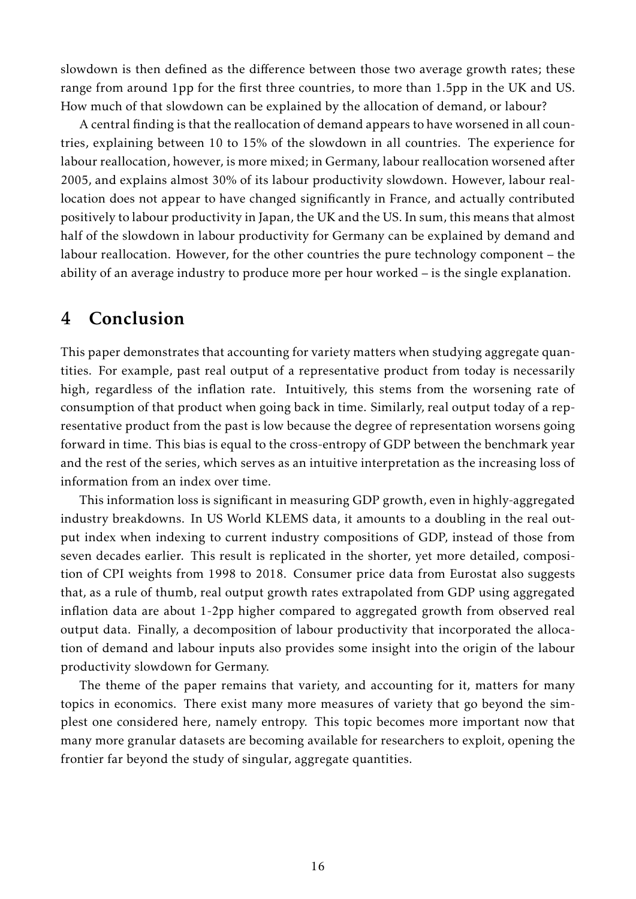slowdown is then defined as the difference between those two average growth rates; these range from around 1pp for the first three countries, to more than 1.5pp in the UK and US. How much of that slowdown can be explained by the allocation of demand, or labour?

A central finding is that the reallocation of demand appears to have worsened in all countries, explaining between 10 to 15% of the slowdown in all countries. The experience for labour reallocation, however, is more mixed; in Germany, labour reallocation worsened after 2005, and explains almost 30% of its labour productivity slowdown. However, labour reallocation does not appear to have changed significantly in France, and actually contributed positively to labour productivity in Japan, the UK and the US. In sum, this means that almost half of the slowdown in labour productivity for Germany can be explained by demand and labour reallocation. However, for the other countries the pure technology component – the ability of an average industry to produce more per hour worked – is the single explanation.

## <span id="page-15-0"></span>4 Conclusion

This paper demonstrates that accounting for variety matters when studying aggregate quantities. For example, past real output of a representative product from today is necessarily high, regardless of the inflation rate. Intuitively, this stems from the worsening rate of consumption of that product when going back in time. Similarly, real output today of a representative product from the past is low because the degree of representation worsens going forward in time. This bias is equal to the cross-entropy of GDP between the benchmark year and the rest of the series, which serves as an intuitive interpretation as the increasing loss of information from an index over time.

This information loss is significant in measuring GDP growth, even in highly-aggregated industry breakdowns. In US World KLEMS data, it amounts to a doubling in the real output index when indexing to current industry compositions of GDP, instead of those from seven decades earlier. This result is replicated in the shorter, yet more detailed, composition of CPI weights from 1998 to 2018. Consumer price data from Eurostat also suggests that, as a rule of thumb, real output growth rates extrapolated from GDP using aggregated inflation data are about 1-2pp higher compared to aggregated growth from observed real output data. Finally, a decomposition of labour productivity that incorporated the allocation of demand and labour inputs also provides some insight into the origin of the labour productivity slowdown for Germany.

The theme of the paper remains that variety, and accounting for it, matters for many topics in economics. There exist many more measures of variety that go beyond the simplest one considered here, namely entropy. This topic becomes more important now that many more granular datasets are becoming available for researchers to exploit, opening the frontier far beyond the study of singular, aggregate quantities.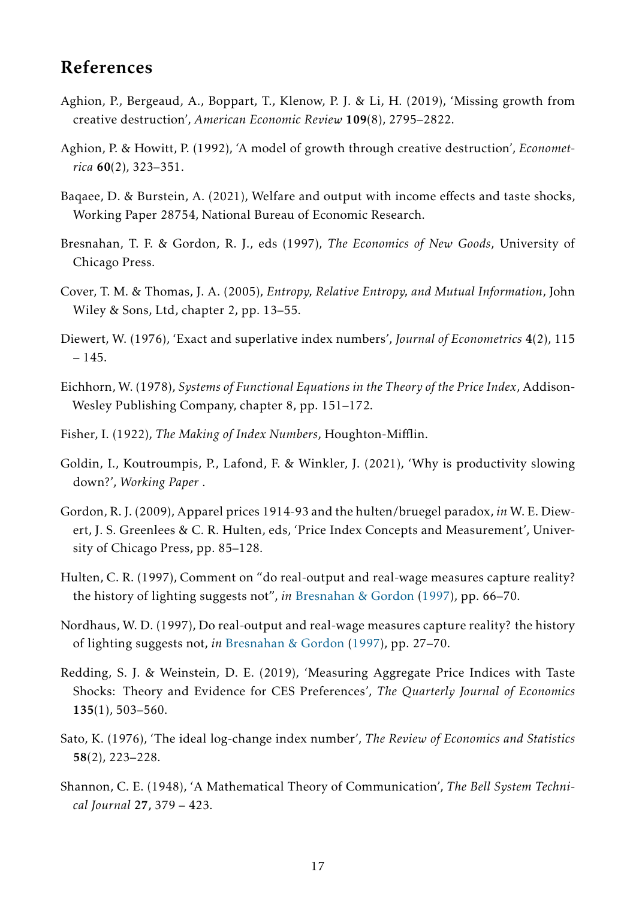## References

- <span id="page-16-3"></span>Aghion, P., Bergeaud, A., Boppart, T., Klenow, P. J. & Li, H. (2019), 'Missing growth from creative destruction', *American Economic Review* 109(8), 2795–2822.
- <span id="page-16-11"></span>Aghion, P. & Howitt, P. (1992), 'A model of growth through creative destruction', *Econometrica* 60(2), 323–351.
- <span id="page-16-0"></span>Baqaee, D. & Burstein, A. (2021), Welfare and output with income effects and taste shocks, Working Paper 28754, National Bureau of Economic Research.
- <span id="page-16-14"></span>Bresnahan, T. F. & Gordon, R. J., eds (1997), *The Economics of New Goods*, University of Chicago Press.
- <span id="page-16-10"></span>Cover, T. M. & Thomas, J. A. (2005), *Entropy, Relative Entropy, and Mutual Information*, John Wiley & Sons, Ltd, chapter 2, pp. 13–55.
- <span id="page-16-12"></span>Diewert, W. (1976), 'Exact and superlative index numbers', *Journal of Econometrics* 4(2), 115 – 145.
- <span id="page-16-8"></span>Eichhorn, W. (1978), *Systems of Functional Equations in the Theory of the Price Index*, Addison-Wesley Publishing Company, chapter 8, pp. 151–172.
- <span id="page-16-7"></span>Fisher, I. (1922), *The Making of Index Numbers*, Houghton-Mifflin.
- <span id="page-16-13"></span>Goldin, I., Koutroumpis, P., Lafond, F. & Winkler, J. (2021), 'Why is productivity slowing down?', *Working Paper* .
- <span id="page-16-5"></span>Gordon, R. J. (2009), Apparel prices 1914-93 and the hulten/bruegel paradox, *in* W. E. Diewert, J. S. Greenlees & C. R. Hulten, eds, 'Price Index Concepts and Measurement', University of Chicago Press, pp. 85–128.
- <span id="page-16-1"></span>Hulten, C. R. (1997), Comment on "do real-output and real-wage measures capture reality? the history of lighting suggests not", *in* [Bresnahan & Gordon](#page-16-14) [\(1997\)](#page-16-14), pp. 66–70.
- <span id="page-16-2"></span>Nordhaus, W. D. (1997), Do real-output and real-wage measures capture reality? the history of lighting suggests not, *in* [Bresnahan & Gordon](#page-16-14) [\(1997\)](#page-16-14), pp. 27–70.
- <span id="page-16-4"></span>Redding, S. J. & Weinstein, D. E. (2019), 'Measuring Aggregate Price Indices with Taste Shocks: Theory and Evidence for CES Preferences', *The Quarterly Journal of Economics* 135(1), 503–560.
- <span id="page-16-6"></span>Sato, K. (1976), 'The ideal log-change index number', *The Review of Economics and Statistics* 58(2), 223–228.
- <span id="page-16-9"></span>Shannon, C. E. (1948), 'A Mathematical Theory of Communication', *The Bell System Technical Journal* 27, 379 – 423.